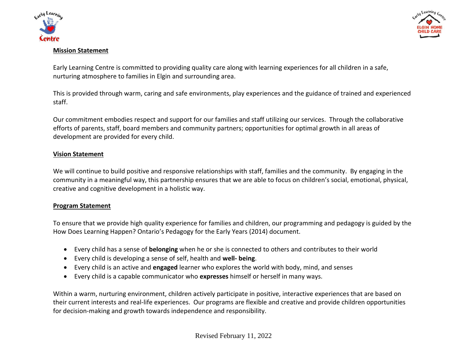



### **Mission Statement**

Early Learning Centre is committed to providing quality care along with learning experiences for all children in a safe, nurturing atmosphere to families in Elgin and surrounding area.

This is provided through warm, caring and safe environments, play experiences and the guidance of trained and experienced staff.

Our commitment embodies respect and support for our families and staff utilizing our services. Through the collaborative efforts of parents, staff, board members and community partners; opportunities for optimal growth in all areas of development are provided for every child.

### **Vision Statement**

We will continue to build positive and responsive relationships with staff, families and the community. By engaging in the community in a meaningful way, this partnership ensures that we are able to focus on children's social, emotional, physical, creative and cognitive development in a holistic way.

### **Program Statement**

To ensure that we provide high quality experience for families and children, our programming and pedagogy is guided by the How Does Learning Happen? Ontario's Pedagogy for the Early Years (2014) document.

- Every child has a sense of **belonging** when he or she is connected to others and contributes to their world
- Every child is developing a sense of self, health and **well- being**.
- Every child is an active and **engaged** learner who explores the world with body, mind, and senses
- Every child is a capable communicator who **expresses** himself or herself in many ways.

Within a warm, nurturing environment, children actively participate in positive, interactive experiences that are based on their current interests and real-life experiences. Our programs are flexible and creative and provide children opportunities for decision-making and growth towards independence and responsibility.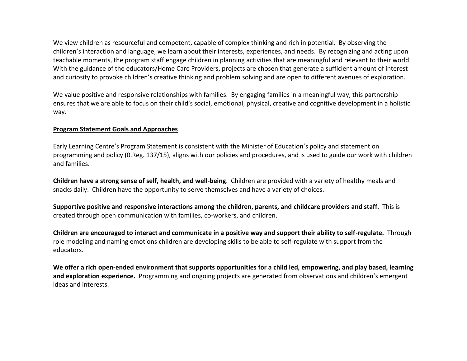We view children as resourceful and competent, capable of complex thinking and rich in potential. By observing the children's interaction and language, we learn about their interests, experiences, and needs. By recognizing and acting upon teachable moments, the program staff engage children in planning activities that are meaningful and relevant to their world. With the guidance of the educators/Home Care Providers, projects are chosen that generate a sufficient amount of interest and curiosity to provoke children's creative thinking and problem solving and are open to different avenues of exploration.

We value positive and responsive relationships with families. By engaging families in a meaningful way, this partnership ensures that we are able to focus on their child's social, emotional, physical, creative and cognitive development in a holistic way.

#### **Program Statement Goals and Approaches**

Early Learning Centre's Program Statement is consistent with the Minister of Education's policy and statement on programming and policy (0.Reg. 137/15), aligns with our policies and procedures, and is used to guide our work with children and families.

**Children have a strong sense of self, health, and well-being**. Children are provided with a variety of healthy meals and snacks daily. Children have the opportunity to serve themselves and have a variety of choices.

**Supportive positive and responsive interactions among the children, parents, and childcare providers and staff.** This is created through open communication with families, co-workers, and children.

**Children are encouraged to interact and communicate in a positive way and support their ability to self-regulate.** Through role modeling and naming emotions children are developing skills to be able to self-regulate with support from the educators.

**We offer a rich open-ended environment that supports opportunities for a child led, empowering, and play based, learning and exploration experience.** Programming and ongoing projects are generated from observations and children's emergent ideas and interests.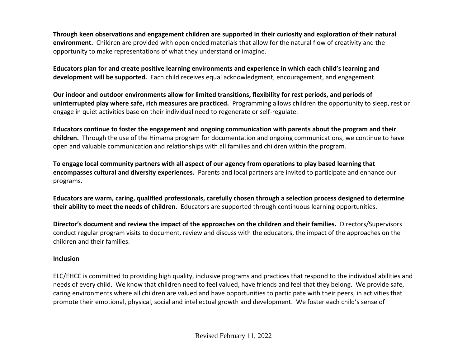**Through keen observations and engagement children are supported in their curiosity and exploration of their natural environment.** Children are provided with open ended materials that allow for the natural flow of creativity and the opportunity to make representations of what they understand or imagine.

**Educators plan for and create positive learning environments and experience in which each child's learning and development will be supported.** Each child receives equal acknowledgment, encouragement, and engagement.

**Our indoor and outdoor environments allow for limited transitions, flexibility for rest periods, and periods of uninterrupted play where safe, rich measures are practiced.** Programming allows children the opportunity to sleep, rest or engage in quiet activities base on their individual need to regenerate or self-regulate.

**Educators continue to foster the engagement and ongoing communication with parents about the program and their children.** Through the use of the Himama program for documentation and ongoing communications, we continue to have open and valuable communication and relationships with all families and children within the program.

**To engage local community partners with all aspect of our agency from operations to play based learning that encompasses cultural and diversity experiences.** Parents and local partners are invited to participate and enhance our programs.

**Educators are warm, caring, qualified professionals, carefully chosen through a selection process designed to determine their ability to meet the needs of children.** Educators are supported through continuous learning opportunities.

**Director's document and review the impact of the approaches on the children and their families.** Directors/Supervisors conduct regular program visits to document, review and discuss with the educators, the impact of the approaches on the children and their families.

## **Inclusion**

ELC/EHCC is committed to providing high quality, inclusive programs and practices that respond to the individual abilities and needs of every child. We know that children need to feel valued, have friends and feel that they belong. We provide safe, caring environments where all children are valued and have opportunities to participate with their peers, in activities that promote their emotional, physical, social and intellectual growth and development. We foster each child's sense of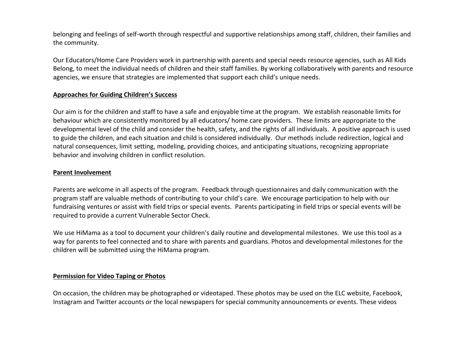belonging and feelings of self-worth through respectful and supportive relationships among staff, children, their families and the community.

Our Educators/Home Care Providers work in partnership with parents and special needs resource agencies, such as All Kids Belong, to meet the individual needs of children and their staff families. By working collaboratively with parents and resource agencies, we ensure that strategies are implemented that support each child's unique needs.

#### **Approaches for Guiding Children's Success**

Our aim is for the children and staff to have a safe and enjoyable time at the program. We establish reasonable limits for behaviour which are consistently monitored by all educators/ home care providers. These limits are appropriate to the developmental level of the child and consider the health, safety, and the rights of all individuals. A positive approach is used to guide the children, and each situation and child is considered individually. Our methods include redirection, logical and natural consequences, limit setting, modeling, providing choices, and anticipating situations, recognizing appropriate behavior and involving children in conflict resolution.

#### **Parent Involvement**

Parents are welcome in all aspects of the program. Feedback through questionnaires and daily communication with the program staff are valuable methods of contributing to your child's care. We encourage participation to help with our fundraising ventures or assist with field trips or special events. Parents participating in field trips or special events will be required to provide a current Vulnerable Sector Check.

We use HiMama as a tool to document your children's daily routine and developmental milestones. We use this tool as a way for parents to feel connected and to share with parents and guardians. Photos and developmental milestones for the children will be submitted using the HiMama program.

#### **Permission for Video Taping or Photos**

On occasion, the children may be photographed or videotaped. These photos may be used on the ELC website, Facebook, Instagram and Twitter accounts or the local newspapers for special community announcements or events. These videos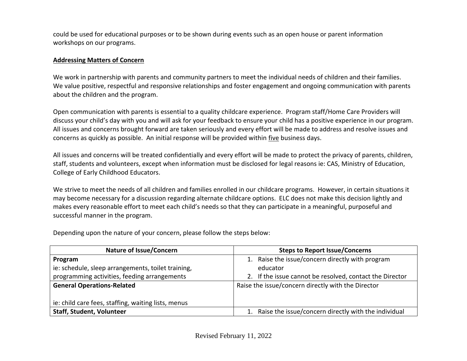could be used for educational purposes or to be shown during events such as an open house or parent information workshops on our programs.

## **Addressing Matters of Concern**

We work in partnership with parents and community partners to meet the individual needs of children and their families. We value positive, respectful and responsive relationships and foster engagement and ongoing communication with parents about the children and the program.

Open communication with parents is essential to a quality childcare experience. Program staff/Home Care Providers will discuss your child's day with you and will ask for your feedback to ensure your child has a positive experience in our program. All issues and concerns brought forward are taken seriously and every effort will be made to address and resolve issues and concerns as quickly as possible. An initial response will be provided within five business days.

All issues and concerns will be treated confidentially and every effort will be made to protect the privacy of parents, children, staff, students and volunteers, except when information must be disclosed for legal reasons ie: CAS, Ministry of Education, College of Early Childhood Educators.

We strive to meet the needs of all children and families enrolled in our childcare programs. However, in certain situations it may become necessary for a discussion regarding alternate childcare options. ELC does not make this decision lightly and makes every reasonable effort to meet each child's needs so that they can participate in a meaningful, purposeful and successful manner in the program.

| <b>Nature of Issue/Concern</b>                      | <b>Steps to Report Issue/Concerns</b>                    |  |  |
|-----------------------------------------------------|----------------------------------------------------------|--|--|
| Program                                             | 1. Raise the issue/concern directly with program         |  |  |
| ie: schedule, sleep arrangements, toilet training,  | educator                                                 |  |  |
| programming activities, feeding arrangements        | 2. If the issue cannot be resolved, contact the Director |  |  |
| <b>General Operations-Related</b>                   | Raise the issue/concern directly with the Director       |  |  |
|                                                     |                                                          |  |  |
| ie: child care fees, staffing, waiting lists, menus |                                                          |  |  |
| <b>Staff, Student, Volunteer</b>                    | Raise the issue/concern directly with the individual     |  |  |

Depending upon the nature of your concern, please follow the steps below: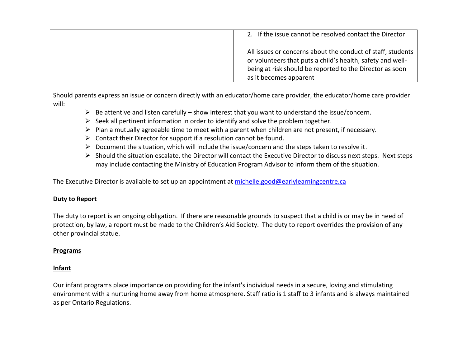| 2. If the issue cannot be resolved contact the Director                                                                                                                                                         |  |
|-----------------------------------------------------------------------------------------------------------------------------------------------------------------------------------------------------------------|--|
| All issues or concerns about the conduct of staff, students<br>or volunteers that puts a child's health, safety and well-<br>being at risk should be reported to the Director as soon<br>as it becomes apparent |  |

Should parents express an issue or concern directly with an educator/home care provider, the educator/home care provider will:

- $\triangleright$  Be attentive and listen carefully show interest that you want to understand the issue/concern.
- $\triangleright$  Seek all pertinent information in order to identify and solve the problem together.
- ➢ Plan a mutually agreeable time to meet with a parent when children are not present, if necessary.
- $\triangleright$  Contact their Director for support if a resolution cannot be found.
- ➢ Document the situation, which will include the issue/concern and the steps taken to resolve it.
- ➢ Should the situation escalate, the Director will contact the Executive Director to discuss next steps. Next steps may include contacting the Ministry of Education Program Advisor to inform them of the situation.

The Executive Director is available to set up an appointment at [michelle.good@earlylearningcentre.ca](mailto:michelle.good@earlylearningcentre.ca)

## **Duty to Report**

The duty to report is an ongoing obligation. If there are reasonable grounds to suspect that a child is or may be in need of protection, by law, a report must be made to the Children's Aid Society. The duty to report overrides the provision of any other provincial statue.

## **Programs**

# **Infant**

Our infant programs place importance on providing for the infant's individual needs in a secure, loving and stimulating environment with a nurturing home away from home atmosphere. Staff ratio is 1 staff to 3 infants and is always maintained as per Ontario Regulations.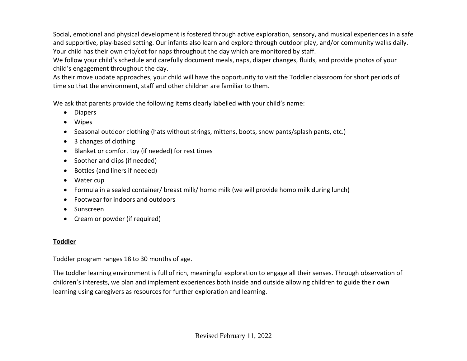Social, emotional and physical development is fostered through active exploration, sensory, and musical experiences in a safe and supportive, play-based setting. Our infants also learn and explore through outdoor play, and/or community walks daily. Your child has their own crib/cot for naps throughout the day which are monitored by staff.

We follow your child's schedule and carefully document meals, naps, diaper changes, fluids, and provide photos of your child's engagement throughout the day.

As their move update approaches, your child will have the opportunity to visit the Toddler classroom for short periods of time so that the environment, staff and other children are familiar to them.

We ask that parents provide the following items clearly labelled with your child's name:

- Diapers
- Wipes
- Seasonal outdoor clothing (hats without strings, mittens, boots, snow pants/splash pants, etc.)
- 3 changes of clothing
- Blanket or comfort toy (if needed) for rest times
- Soother and clips (if needed)
- Bottles (and liners if needed)
- Water cup
- Formula in a sealed container/ breast milk/ homo milk (we will provide homo milk during lunch)
- Footwear for indoors and outdoors
- Sunscreen
- Cream or powder (if required)

# **Toddler**

Toddler program ranges 18 to 30 months of age.

The toddler learning environment is full of rich, meaningful exploration to engage all their senses. Through observation of children's interests, we plan and implement experiences both inside and outside allowing children to guide their own learning using caregivers as resources for further exploration and learning.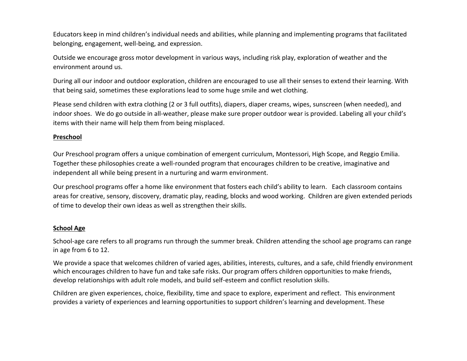Educators keep in mind children's individual needs and abilities, while planning and implementing programs that facilitated belonging, engagement, well-being, and expression.

Outside we encourage gross motor development in various ways, including risk play, exploration of weather and the environment around us.

During all our indoor and outdoor exploration, children are encouraged to use all their senses to extend their learning. With that being said, sometimes these explorations lead to some huge smile and wet clothing.

Please send children with extra clothing (2 or 3 full outfits), diapers, diaper creams, wipes, sunscreen (when needed), and indoor shoes. We do go outside in all-weather, please make sure proper outdoor wear is provided. Labeling all your child's items with their name will help them from being misplaced.

### **Preschool**

Our Preschool program offers a unique combination of emergent curriculum, Montessori, High Scope, and Reggio Emilia. Together these philosophies create a well-rounded program that encourages children to be creative, imaginative and independent all while being present in a nurturing and warm environment.

Our preschool programs offer a home like environment that fosters each child's ability to learn. Each classroom contains areas for creative, sensory, discovery, dramatic play, reading, blocks and wood working. Children are given extended periods of time to develop their own ideas as well as strengthen their skills.

### **School Age**

School-age care refers to all programs run through the summer break. Children attending the school age programs can range in age from 6 to 12.

We provide a space that welcomes children of varied ages, abilities, interests, cultures, and a safe, child friendly environment which encourages children to have fun and take safe risks. Our program offers children opportunities to make friends, develop relationships with adult role models, and build self-esteem and conflict resolution skills.

Children are given experiences, choice, flexibility, time and space to explore, experiment and reflect. This environment provides a variety of experiences and learning opportunities to support children's learning and development. These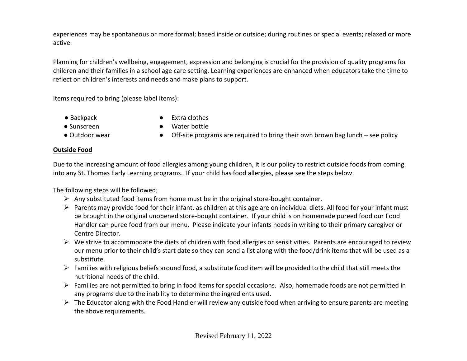experiences may be spontaneous or more formal; based inside or outside; during routines or special events; relaxed or more active.

Planning for children's wellbeing, engagement, expression and belonging is crucial for the provision of quality programs for children and their families in a school age care setting. Learning experiences are enhanced when educators take the time to reflect on children's interests and needs and make plans to support.

Items required to bring (please label items):

- 
- 
- 
- Backpack Extra clothes
- Sunscreen Water bottle
- Outdoor wear Off-site programs are required to bring their own brown bag lunch see policy

## **Outside Food**

Due to the increasing amount of food allergies among young children, it is our policy to restrict outside foods from coming into any St. Thomas Early Learning programs. If your child has food allergies, please see the steps below.

The following steps will be followed;

- $\triangleright$  Any substituted food items from home must be in the original store-bought container.
- $\triangleright$  Parents may provide food for their infant, as children at this age are on individual diets. All food for your infant must be brought in the original unopened store-bought container. If your child is on homemade pureed food our Food Handler can puree food from our menu. Please indicate your infants needs in writing to their primary caregiver or Centre Director.
- $\triangleright$  We strive to accommodate the diets of children with food allergies or sensitivities. Parents are encouraged to review our menu prior to their child's start date so they can send a list along with the food/drink items that will be used as a substitute.
- $\triangleright$  Families with religious beliefs around food, a substitute food item will be provided to the child that still meets the nutritional needs of the child.
- ➢ Families are not permitted to bring in food items for special occasions. Also, homemade foods are not permitted in any programs due to the inability to determine the ingredients used.
- ➢ The Educator along with the Food Handler will review any outside food when arriving to ensure parents are meeting the above requirements.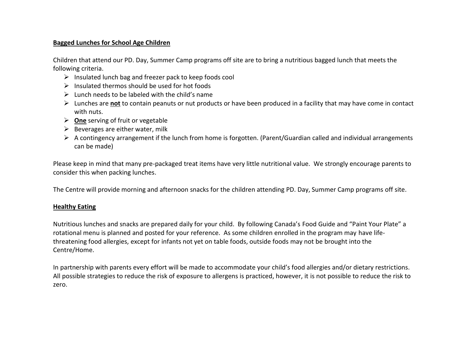### **Bagged Lunches for School Age Children**

Children that attend our PD. Day, Summer Camp programs off site are to bring a nutritious bagged lunch that meets the following criteria.

- ➢ Insulated lunch bag and freezer pack to keep foods cool
- $\triangleright$  Insulated thermos should be used for hot foods
- $\triangleright$  Lunch needs to be labeled with the child's name
- ➢ Lunches are **not** to contain peanuts or nut products or have been produced in a facility that may have come in contact with nuts.
- ➢ **One** serving of fruit or vegetable
- $\triangleright$  Beverages are either water, milk
- ➢ A contingency arrangement if the lunch from home is forgotten. (Parent/Guardian called and individual arrangements can be made)

Please keep in mind that many pre-packaged treat items have very little nutritional value. We strongly encourage parents to consider this when packing lunches.

The Centre will provide morning and afternoon snacks for the children attending PD. Day, Summer Camp programs off site.

### **Healthy Eating**

Nutritious lunches and snacks are prepared daily for your child. By following Canada's Food Guide and "Paint Your Plate" a rotational menu is planned and posted for your reference. As some children enrolled in the program may have lifethreatening food allergies, except for infants not yet on table foods, outside foods may not be brought into the Centre/Home.

In partnership with parents every effort will be made to accommodate your child's food allergies and/or dietary restrictions. All possible strategies to reduce the risk of exposure to allergens is practiced, however, it is not possible to reduce the risk to zero.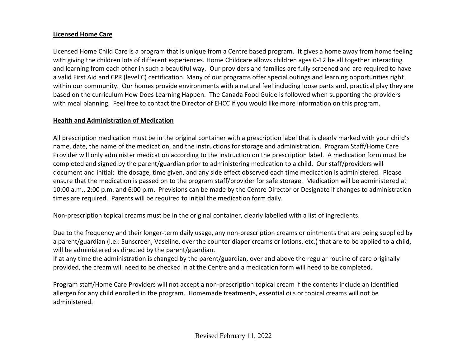### **Licensed Home Care**

Licensed Home Child Care is a program that is unique from a Centre based program. It gives a home away from home feeling with giving the children lots of different experiences. Home Childcare allows children ages 0-12 be all together interacting and learning from each other in such a beautiful way. Our providers and families are fully screened and are required to have a valid First Aid and CPR (level C) certification. Many of our programs offer special outings and learning opportunities right within our community. Our homes provide environments with a natural feel including loose parts and, practical play they are based on the curriculum How Does Learning Happen. The Canada Food Guide is followed when supporting the providers with meal planning. Feel free to contact the Director of EHCC if you would like more information on this program.

# **Health and Administration of Medication**

All prescription medication must be in the original container with a prescription label that is clearly marked with your child's name, date, the name of the medication, and the instructions for storage and administration. Program Staff/Home Care Provider will only administer medication according to the instruction on the prescription label. A medication form must be completed and signed by the parent/guardian prior to administering medication to a child. Our staff/providers will document and initial: the dosage, time given, and any side effect observed each time medication is administered. Please ensure that the medication is passed on to the program staff/provider for safe storage. Medication will be administered at 10:00 a.m., 2:00 p.m. and 6:00 p.m. Previsions can be made by the Centre Director or Designate if changes to administration times are required. Parents will be required to initial the medication form daily.

Non-prescription topical creams must be in the original container, clearly labelled with a list of ingredients.

Due to the frequency and their longer-term daily usage, any non-prescription creams or ointments that are being supplied by a parent/guardian (i.e.: Sunscreen, Vaseline, over the counter diaper creams or lotions, etc.) that are to be applied to a child, will be administered as directed by the parent/guardian.

If at any time the administration is changed by the parent/guardian, over and above the regular routine of care originally provided, the cream will need to be checked in at the Centre and a medication form will need to be completed.

Program staff/Home Care Providers will not accept a non-prescription topical cream if the contents include an identified allergen for any child enrolled in the program. Homemade treatments, essential oils or topical creams will not be administered.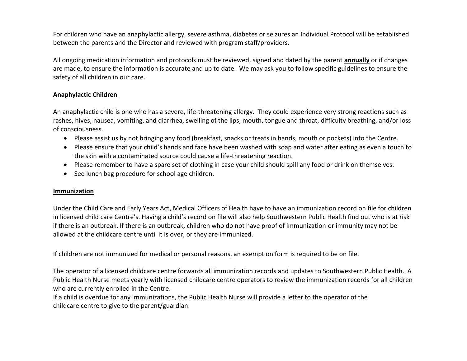For children who have an anaphylactic allergy, severe asthma, diabetes or seizures an Individual Protocol will be established between the parents and the Director and reviewed with program staff/providers.

All ongoing medication information and protocols must be reviewed, signed and dated by the parent **annually** or if changes are made, to ensure the information is accurate and up to date. We may ask you to follow specific guidelines to ensure the safety of all children in our care.

### **Anaphylactic Children**

An anaphylactic child is one who has a severe, life-threatening allergy. They could experience very strong reactions such as rashes, hives, nausea, vomiting, and diarrhea, swelling of the lips, mouth, tongue and throat, difficulty breathing, and/or loss of consciousness.

- Please assist us by not bringing any food (breakfast, snacks or treats in hands, mouth or pockets) into the Centre.
- Please ensure that your child's hands and face have been washed with soap and water after eating as even a touch to the skin with a contaminated source could cause a life-threatening reaction.
- Please remember to have a spare set of clothing in case your child should spill any food or drink on themselves.
- See lunch bag procedure for school age children.

### **Immunization**

Under the [Child Care and Early Years Act,](https://www.ontario.ca/laws/statute/14c11) Medical Officers of Health have to have an immunization record on file for children in licensed child care Centre's. Having a child's record on file will also help Southwestern Public Health find out who is at risk if there is an outbreak. If there is an outbreak, children who do not have proof of immunization or immunity may not be allowed at the childcare centre until it is over, or they are immunized.

If children are not immunized for medical or personal reasons, an exemption form is required to be on file.

The operator of a licensed childcare centre forwards all immunization records and updates to Southwestern Public Health. A Public Health Nurse meets yearly with licensed childcare centre operators to review the immunization records for all children who are currently enrolled in the Centre.

If a child is overdue for any immunizations, the Public Health Nurse will provide a letter to the operator of the childcare centre to give to the parent/guardian.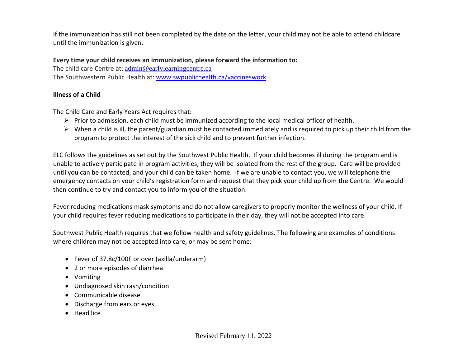If the immunization has still not been completed by the date on the letter, your child may not be able to attend childcare until the immunization is given.

**Every time your child receives an immunization, please forward the information to:**

The child care Centre at: admin@earlylearningcentre.ca The Southwestern Public Health at: [www.swpublichealth.ca/vaccineswork](http://www.swpublichealth.ca/vaccineswork)

# **Illness of a Child**

The Child Care and Early Years Act requires that:

- ➢ Prior to admission, each child must be immunized according to the local medical officer of health.
- $\triangleright$  When a child is ill, the parent/guardian must be contacted immediately and is required to pick up their child from the program to protect the interest of the sick child and to prevent further infection.

ELC follows the guidelines as set out by the Southwest Public Health. If your child becomes ill during the program and is unable to actively participate in program activities, they will be isolated from the rest of the group. Care will be provided until you can be contacted, and your child can be taken home. If we are unable to contact you, we will telephone the emergency contacts on your child's registration form and request that they pick your child up from the Centre. We would then continue to try and contact you to inform you of the situation.

Fever reducing medications mask symptoms and do not allow caregivers to properly monitor the wellness of your child. If your child requires fever reducing medications to participate in their day, they will not be accepted into care.

Southwest Public Health requires that we follow health and safety guidelines. The following are examples of conditions where children may not be accepted into care, or may be sent home:

- Fever of 37.8c/100F or over (axilla/underarm)
- 2 or more episodes of diarrhea
- Vomiting
- Undiagnosed skin rash/condition
- Communicable disease
- Discharge from ears or eyes
- Head lice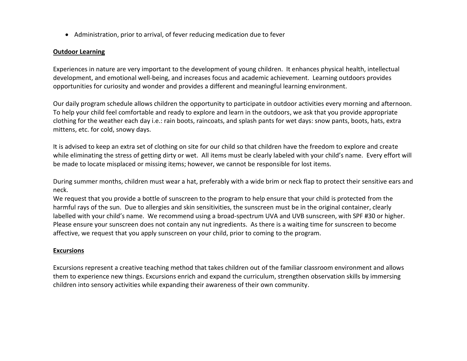• Administration, prior to arrival, of fever reducing medication due to fever

#### **Outdoor Learning**

Experiences in nature are very important to the development of young children. It enhances physical health, intellectual development, and emotional well-being, and increases focus and academic achievement. Learning outdoors provides opportunities for curiosity and wonder and provides a different and meaningful learning environment.

Our daily program schedule allows children the opportunity to participate in outdoor activities every morning and afternoon. To help your child feel comfortable and ready to explore and learn in the outdoors, we ask that you provide appropriate clothing for the weather each day i.e.: rain boots, raincoats, and splash pants for wet days: snow pants, boots, hats, extra mittens, etc. for cold, snowy days.

It is advised to keep an extra set of clothing on site for our child so that children have the freedom to explore and create while eliminating the stress of getting dirty or wet. All items must be clearly labeled with your child's name. Every effort will be made to locate misplaced or missing items; however, we cannot be responsible for lost items.

During summer months, children must wear a hat, preferably with a wide brim or neck flap to protect their sensitive ears and neck.

We request that you provide a bottle of sunscreen to the program to help ensure that your child is protected from the harmful rays of the sun. Due to allergies and skin sensitivities, the sunscreen must be in the original container, clearly labelled with your child's name. We recommend using a broad-spectrum UVA and UVB sunscreen, with SPF #30 or higher. Please ensure your sunscreen does not contain any nut ingredients. As there is a waiting time for sunscreen to become affective, we request that you apply sunscreen on your child, prior to coming to the program.

#### **Excursions**

Excursions represent a creative teaching method that takes children out of the familiar classroom environment and allows them to experience new things. Excursions enrich and expand the curriculum, strengthen observation skills by immersing children into sensory activities while expanding their awareness of their own community.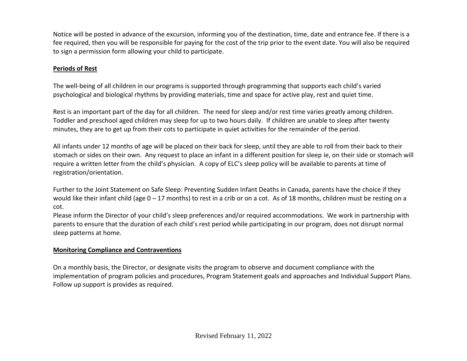Notice will be posted in advance of the excursion, informing you of the destination, time, date and entrance fee. If there is a fee required, then you will be responsible for paying for the cost of the trip prior to the event date. You will also be required to sign a permission form allowing your child to participate.

# **Periods of Rest**

The well-being of all children in our programs is supported through programming that supports each child's varied psychological and biological rhythms by providing materials, time and space for active play, rest and quiet time.

Rest is an important part of the day for all children. The need for sleep and/or rest time varies greatly among children. Toddler and preschool aged children may sleep for up to two hours daily. If children are unable to sleep after twenty minutes, they are to get up from their cots to participate in quiet activities for the remainder of the period.

All infants under 12 months of age will be placed on their back for sleep, until they are able to roll from their back to their stomach or sides on their own. Any request to place an infant in a different position for sleep ie, on their side or stomach will require a written letter from the child's physician. A copy of ELC's sleep policy will be available to parents at time of registration/orientation.

Further to the Joint Statement on Safe Sleep: Preventing Sudden Infant Deaths in Canada, parents have the choice if they would like their infant child (age  $0 - 17$  months) to rest in a crib or on a cot. As of 18 months, children must be resting on a cot.

Please inform the Director of your child's sleep preferences and/or required accommodations. We work in partnership with parents to ensure that the duration of each child's rest period while participating in our program, does not disrupt normal sleep patterns at home.

# **Monitoring Compliance and Contraventions**

On a monthly basis, the Director, or designate visits the program to observe and document compliance with the implementation of program policies and procedures, Program Statement goals and approaches and Individual Support Plans. Follow up support is provides as required.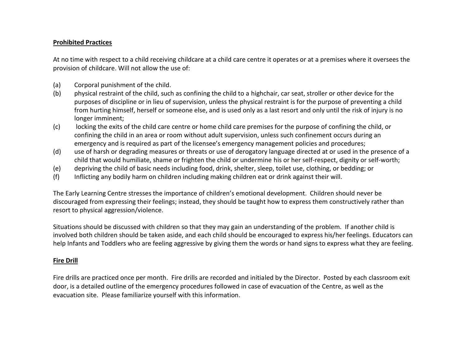### **Prohibited Practices**

At no time with respect to a child receiving childcare at a child care centre it operates or at a premises where it oversees the provision of childcare. Will not allow the use of:

- (a) Corporal punishment of the child.
- (b) physical restraint of the child, such as confining the child to a highchair, car seat, stroller or other device for the purposes of discipline or in lieu of supervision, unless the physical restraint is for the purpose of preventing a child from hurting himself, herself or someone else, and is used only as a last resort and only until the risk of injury is no longer imminent;
- (c) locking the exits of the child care centre or home child care premises for the purpose of confining the child, or confining the child in an area or room without adult supervision, unless such confinement occurs during an emergency and is required as part of the licensee's emergency management policies and procedures;
- (d) use of harsh or degrading measures or threats or use of derogatory language directed at or used in the presence of a child that would humiliate, shame or frighten the child or undermine his or her self-respect, dignity or self-worth;
- (e) depriving the child of basic needs including food, drink, shelter, sleep, toilet use, clothing, or bedding; or
- (f) Inflicting any bodily harm on children including making children eat or drink against their will.

The Early Learning Centre stresses the importance of children's emotional development. Children should never be discouraged from expressing their feelings; instead, they should be taught how to express them constructively rather than resort to physical aggression/violence.

Situations should be discussed with children so that they may gain an understanding of the problem. If another child is involved both children should be taken aside, and each child should be encouraged to express his/her feelings. Educators can help Infants and Toddlers who are feeling aggressive by giving them the words or hand signs to express what they are feeling.

### **Fire Drill**

Fire drills are practiced once per month. Fire drills are recorded and initialed by the Director. Posted by each classroom exit door, is a detailed outline of the emergency procedures followed in case of evacuation of the Centre, as well as the evacuation site. Please familiarize yourself with this information.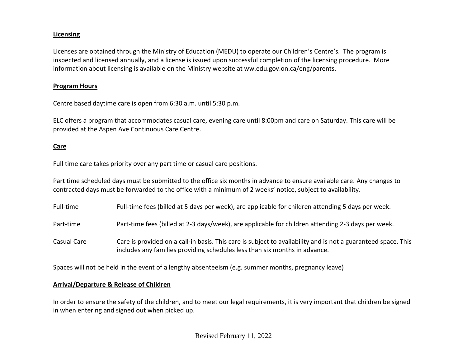### **Licensing**

Licenses are obtained through the Ministry of Education (MEDU) to operate our Children's Centre's. The program is inspected and licensed annually, and a license is issued upon successful completion of the licensing procedure. More information about licensing is available on the Ministry website at ww.edu.gov.on.ca/eng/parents.

#### **Program Hours**

Centre based daytime care is open from 6:30 a.m. until 5:30 p.m.

ELC offers a program that accommodates casual care, evening care until 8:00pm and care on Saturday. This care will be provided at the Aspen Ave Continuous Care Centre.

## **Care**

Full time care takes priority over any part time or casual care positions.

Part time scheduled days must be submitted to the office six months in advance to ensure available care. Any changes to contracted days must be forwarded to the office with a minimum of 2 weeks' notice, subject to availability.

Full-time Full-time fees (billed at 5 days per week), are applicable for children attending 5 days per week.

Part-time Part-time fees (billed at 2-3 days/week), are applicable for children attending 2-3 days per week.

Casual Care Care is provided on a call-in basis. This care is subject to availability and is not a guaranteed space. This includes any families providing schedules less than six months in advance.

Spaces will not be held in the event of a lengthy absenteeism (e.g. summer months, pregnancy leave)

### **Arrival/Departure & Release of Children**

In order to ensure the safety of the children, and to meet our legal requirements, it is very important that children be signed in when entering and signed out when picked up.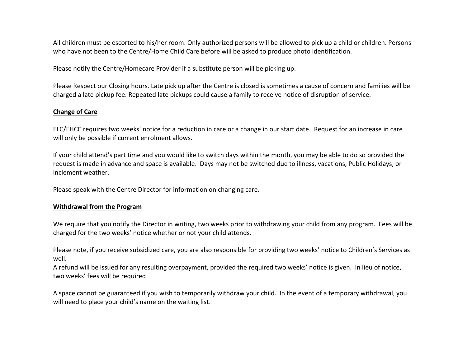All children must be escorted to his/her room. Only authorized persons will be allowed to pick up a child or children. Persons who have not been to the Centre/Home Child Care before will be asked to produce photo identification.

Please notify the Centre/Homecare Provider if a substitute person will be picking up.

Please Respect our Closing hours. Late pick up after the Centre is closed is sometimes a cause of concern and families will be charged a late pickup fee. Repeated late pickups could cause a family to receive notice of disruption of service.

### **Change of Care**

ELC/EHCC requires two weeks' notice for a reduction in care or a change in our start date. Request for an increase in care will only be possible if current enrolment allows.

If your child attend's part time and you would like to switch days within the month, you may be able to do so provided the request is made in advance and space is available. Days may not be switched due to illness, vacations, Public Holidays, or inclement weather.

Please speak with the Centre Director for information on changing care.

### **Withdrawal from the Program**

We require that you notify the Director in writing, two weeks prior to withdrawing your child from any program. Fees will be charged for the two weeks' notice whether or not your child attends.

Please note, if you receive subsidized care, you are also responsible for providing two weeks' notice to Children's Services as well.

A refund will be issued for any resulting overpayment, provided the required two weeks' notice is given. In lieu of notice, two weeks' fees will be required

A space cannot be guaranteed if you wish to temporarily withdraw your child. In the event of a temporary withdrawal, you will need to place your child's name on the waiting list.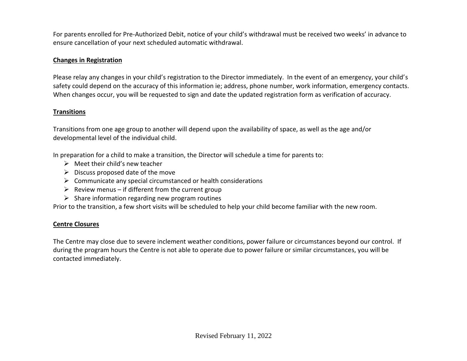For parents enrolled for Pre-Authorized Debit, notice of your child's withdrawal must be received two weeks' in advance to ensure cancellation of your next scheduled automatic withdrawal.

## **Changes in Registration**

Please relay any changes in your child's registration to the Director immediately. In the event of an emergency, your child's safety could depend on the accuracy of this information ie; address, phone number, work information, emergency contacts. When changes occur, you will be requested to sign and date the updated registration form as verification of accuracy.

### **Transitions**

Transitions from one age group to another will depend upon the availability of space, as well as the age and/or developmental level of the individual child.

In preparation for a child to make a transition, the Director will schedule a time for parents to:

- $\triangleright$  Meet their child's new teacher
- $\triangleright$  Discuss proposed date of the move
- $\triangleright$  Communicate any special circumstanced or health considerations
- $\triangleright$  Review menus if different from the current group
- $\triangleright$  Share information regarding new program routines

Prior to the transition, a few short visits will be scheduled to help your child become familiar with the new room.

## **Centre Closures**

The Centre may close due to severe inclement weather conditions, power failure or circumstances beyond our control. If during the program hours the Centre is not able to operate due to power failure or similar circumstances, you will be contacted immediately.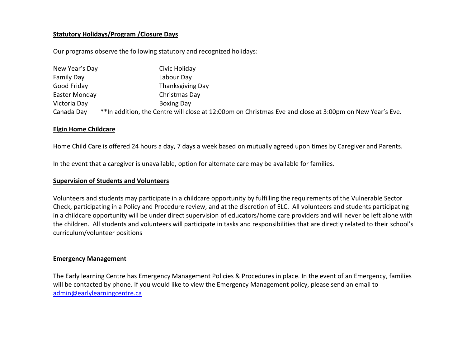#### **Statutory Holidays/Program /Closure Days**

Our programs observe the following statutory and recognized holidays:

| New Year's Day    | Civic Holiday                                                                                           |
|-------------------|---------------------------------------------------------------------------------------------------------|
| <b>Family Day</b> | Labour Day                                                                                              |
| Good Friday       | Thanksgiving Day                                                                                        |
| Easter Monday     | Christmas Day                                                                                           |
| Victoria Day      | <b>Boxing Day</b>                                                                                       |
| Canada Day        | **In addition, the Centre will close at 12:00pm on Christmas Eve and close at 3:00pm on New Year's Eve. |

### **Elgin Home Childcare**

Home Child Care is offered 24 hours a day, 7 days a week based on mutually agreed upon times by Caregiver and Parents.

In the event that a caregiver is unavailable, option for alternate care may be available for families.

#### **Supervision of Students and Volunteers**

Volunteers and students may participate in a childcare opportunity by fulfilling the requirements of the Vulnerable Sector Check, participating in a Policy and Procedure review, and at the discretion of ELC. All volunteers and students participating in a childcare opportunity will be under direct supervision of educators/home care providers and will never be left alone with the children. All students and volunteers will participate in tasks and responsibilities that are directly related to their school's curriculum/volunteer positions

#### **Emergency Management**

The Early learning Centre has Emergency Management Policies & Procedures in place. In the event of an Emergency, families will be contacted by phone. If you would like to view the Emergency Management policy, please send an email to [admin@earlylearningcentre.ca](mailto:admin@earlylearningcentre.ca)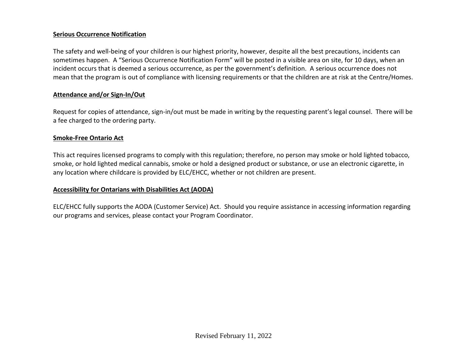## **Serious Occurrence Notification**

The safety and well-being of your children is our highest priority, however, despite all the best precautions, incidents can sometimes happen. A "Serious Occurrence Notification Form" will be posted in a visible area on site, for 10 days, when an incident occurs that is deemed a serious occurrence, as per the government's definition. A serious occurrence does not mean that the program is out of compliance with licensing requirements or that the children are at risk at the Centre/Homes.

### **Attendance and/or Sign-In/Out**

Request for copies of attendance, sign-in/out must be made in writing by the requesting parent's legal counsel. There will be a fee charged to the ordering party.

#### **Smoke-Free Ontario Act**

This act requires licensed programs to comply with this regulation; therefore, no person may smoke or hold lighted tobacco, smoke, or hold lighted medical cannabis, smoke or hold a designed product or substance, or use an electronic cigarette, in any location where childcare is provided by ELC/EHCC, whether or not children are present.

### **Accessibility for Ontarians with Disabilities Act (AODA)**

ELC/EHCC fully supports the AODA (Customer Service) Act. Should you require assistance in accessing information regarding our programs and services, please contact your Program Coordinator.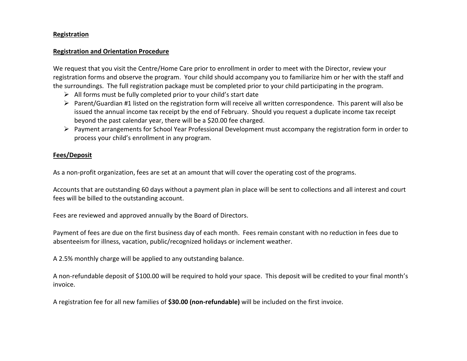#### **Registration**

#### **Registration and Orientation Procedure**

We request that you visit the Centre/Home Care prior to enrollment in order to meet with the Director, review your registration forms and observe the program. Your child should accompany you to familiarize him or her with the staff and the surroundings. The full registration package must be completed prior to your child participating in the program.

- $\triangleright$  All forms must be fully completed prior to your child's start date
- $\triangleright$  Parent/Guardian #1 listed on the registration form will receive all written correspondence. This parent will also be issued the annual income tax receipt by the end of February. Should you request a duplicate income tax receipt beyond the past calendar year, there will be a \$20.00 fee charged.
- ➢ Payment arrangements for School Year Professional Development must accompany the registration form in order to process your child's enrollment in any program.

#### **Fees/Deposit**

As a non-profit organization, fees are set at an amount that will cover the operating cost of the programs.

Accounts that are outstanding 60 days without a payment plan in place will be sent to collections and all interest and court fees will be billed to the outstanding account.

Fees are reviewed and approved annually by the Board of Directors.

Payment of fees are due on the first business day of each month. Fees remain constant with no reduction in fees due to absenteeism for illness, vacation, public/recognized holidays or inclement weather.

A 2.5% monthly charge will be applied to any outstanding balance.

A non-refundable deposit of \$100.00 will be required to hold your space. This deposit will be credited to your final month's invoice.

A registration fee for all new families of **\$30.00 (non-refundable)** will be included on the first invoice.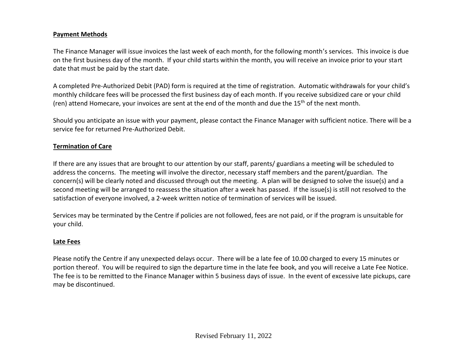### **Payment Methods**

The Finance Manager will issue invoices the last week of each month, for the following month's services. This invoice is due on the first business day of the month. If your child starts within the month, you will receive an invoice prior to your start date that must be paid by the start date.

A completed Pre-Authorized Debit (PAD) form is required at the time of registration. Automatic withdrawals for your child's monthly childcare fees will be processed the first business day of each month. If you receive subsidized care or your child (ren) attend Homecare, your invoices are sent at the end of the month and due the 15<sup>th</sup> of the next month.

Should you anticipate an issue with your payment, please contact the Finance Manager with sufficient notice. There will be a service fee for returned Pre-Authorized Debit.

## **Termination of Care**

If there are any issues that are brought to our attention by our staff, parents/ guardians a meeting will be scheduled to address the concerns. The meeting will involve the director, necessary staff members and the parent/guardian. The concern(s) will be clearly noted and discussed through out the meeting. A plan will be designed to solve the issue(s) and a second meeting will be arranged to reassess the situation after a week has passed. If the issue(s) is still not resolved to the satisfaction of everyone involved, a 2-week written notice of termination of services will be issued.

Services may be terminated by the Centre if policies are not followed, fees are not paid, or if the program is unsuitable for your child.

## **Late Fees**

Please notify the Centre if any unexpected delays occur. There will be a late fee of 10.00 charged to every 15 minutes or portion thereof. You will be required to sign the departure time in the late fee book, and you will receive a Late Fee Notice. The fee is to be remitted to the Finance Manager within 5 business days of issue. In the event of excessive late pickups, care may be discontinued.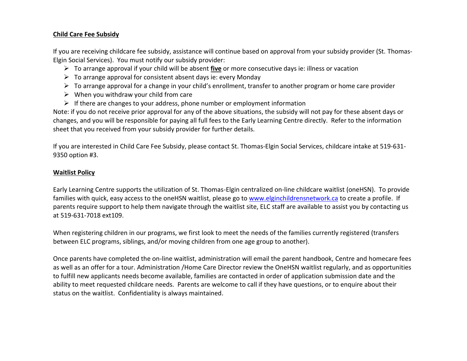### **Child Care Fee Subsidy**

If you are receiving childcare fee subsidy, assistance will continue based on approval from your subsidy provider (St. Thomas-Elgin Social Services). You must notify our subsidy provider:

- ➢ To arrange approval if your child will be absent **five** or more consecutive days ie: illness or vacation
- $\triangleright$  To arrange approval for consistent absent days ie: every Monday
- $\triangleright$  To arrange approval for a change in your child's enrollment, transfer to another program or home care provider
- $\triangleright$  When you withdraw your child from care
- $\triangleright$  If there are changes to your address, phone number or employment information

Note: if you do not receive prior approval for any of the above situations, the subsidy will not pay for these absent days or changes, and you will be responsible for paying all full fees to the Early Learning Centre directly. Refer to the information sheet that you received from your subsidy provider for further details.

If you are interested in Child Care Fee Subsidy, please contact St. Thomas-Elgin Social Services, childcare intake at 519-631- 9350 option #3.

## **Waitlist Policy**

Early Learning Centre supports the utilization of St. Thomas-Elgin centralized on-line childcare waitlist (oneHSN). To provide families with quick, easy access to the oneHSN waitlist, please go to [www.elginchildrensnetwork.ca](http://www.elginchildrensnetwork.ca/) to create a profile. If parents require support to help them navigate through the waitlist site, ELC staff are available to assist you by contacting us at 519-631-7018 ext109.

When registering children in our programs, we first look to meet the needs of the families currently registered (transfers between ELC programs, siblings, and/or moving children from one age group to another).

Once parents have completed the on-line waitlist, administration will email the parent handbook, Centre and homecare fees as well as an offer for a tour. Administration /Home Care Director review the OneHSN waitlist regularly, and as opportunities to fulfill new applicants needs become available, families are contacted in order of application submission date and the ability to meet requested childcare needs. Parents are welcome to call if they have questions, or to enquire about their status on the waitlist. Confidentiality is always maintained.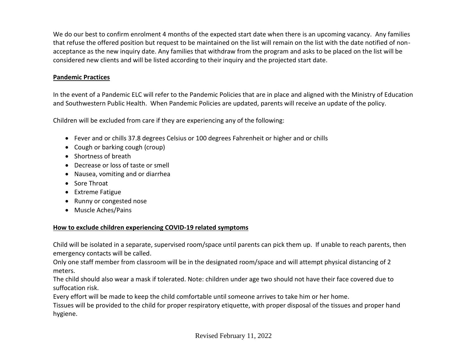We do our best to confirm enrolment 4 months of the expected start date when there is an upcoming vacancy. Any families that refuse the offered position but request to be maintained on the list will remain on the list with the date notified of nonacceptance as the new inquiry date. Any families that withdraw from the program and asks to be placed on the list will be considered new clients and will be listed according to their inquiry and the projected start date.

# **Pandemic Practices**

In the event of a Pandemic ELC will refer to the Pandemic Policies that are in place and aligned with the Ministry of Education and Southwestern Public Health. When Pandemic Policies are updated, parents will receive an update of the policy.

Children will be excluded from care if they are experiencing any of the following:

- Fever and or chills 37.8 degrees Celsius or 100 degrees Fahrenheit or higher and or chills
- Cough or barking cough (croup)
- Shortness of breath
- Decrease or loss of taste or smell
- Nausea, vomiting and or diarrhea
- Sore Throat
- Extreme Fatigue
- Runny or congested nose
- Muscle Aches/Pains

# **How to exclude children experiencing COVID-19 related symptoms**

Child will be isolated in a separate, supervised room/space until parents can pick them up. If unable to reach parents, then emergency contacts will be called.

Only one staff member from classroom will be in the designated room/space and will attempt physical distancing of 2 meters.

The child should also wear a mask if tolerated. Note: children under age two should not have their face covered due to suffocation risk.

Every effort will be made to keep the child comfortable until someone arrives to take him or her home.

Tissues will be provided to the child for proper respiratory etiquette, with proper disposal of the tissues and proper hand hygiene.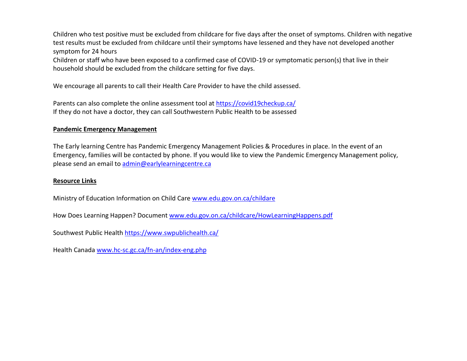Children who test positive must be excluded from childcare for five days after the onset of symptoms. Children with negative test results must be excluded from childcare until their symptoms have lessened and they have not developed another symptom for 24 hours

Children or staff who have been exposed to a confirmed case of COVID-19 or symptomatic person(s) that live in their household should be excluded from the childcare setting for five days.

We encourage all parents to call their Health Care Provider to have the child assessed.

Parents can also complete the online assessment tool at<https://covid19checkup.ca/> If they do not have a doctor, they can call Southwestern Public Health to be assessed

## **Pandemic Emergency Management**

The Early learning Centre has Pandemic Emergency Management Policies & Procedures in place. In the event of an Emergency, families will be contacted by phone. If you would like to view the Pandemic Emergency Management policy, please send an email to [admin@earlylearningcentre.ca](mailto:admin@earlylearningcentre.ca)

## **Resource Links**

Ministry of Education Information on Child Care [www.edu.gov.on.ca/childare](http://www.edu.gov.on.ca/childare)

How Does Learning Happen? Document [www.edu.gov.on.ca/childcare/HowLearningHappens.pdf](http://www.edu.gov.on.ca/childcare/HowLearningHappens.pdf)

Southwest Public Health<https://www.swpublichealth.ca/>

Health Canada [www.hc-sc.gc.ca/fn-an/index-eng.php](http://www.hc-sc.gc.ca/fn-an/index-eng.php)